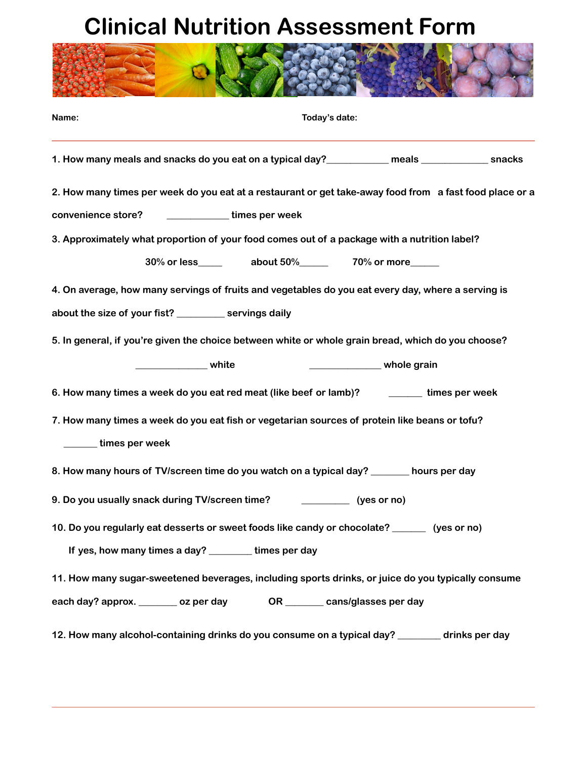## **Clinical Nutrition Assessment Form**